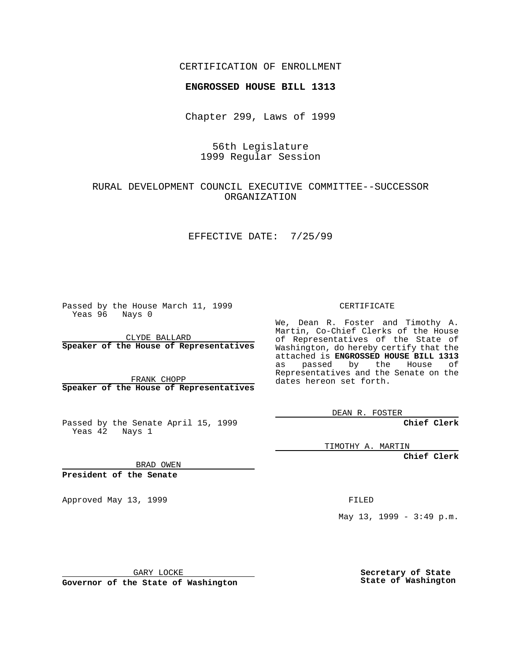CERTIFICATION OF ENROLLMENT

# **ENGROSSED HOUSE BILL 1313**

Chapter 299, Laws of 1999

## 56th Legislature 1999 Regular Session

## RURAL DEVELOPMENT COUNCIL EXECUTIVE COMMITTEE--SUCCESSOR ORGANIZATION

#### EFFECTIVE DATE: 7/25/99

Passed by the House March 11, 1999 Yeas 96 Nays 0

CLYDE BALLARD **Speaker of the House of Representatives**

FRANK CHOPP **Speaker of the House of Representatives**

Passed by the Senate April 15, 1999 Yeas 42 Nays 1

CERTIFICATE

We, Dean R. Foster and Timothy A. Martin, Co-Chief Clerks of the House of Representatives of the State of Washington, do hereby certify that the attached is **ENGROSSED HOUSE BILL 1313** as passed by the House of Representatives and the Senate on the dates hereon set forth.

DEAN R. FOSTER

**Chief Clerk**

TIMOTHY A. MARTIN

**Chief Clerk**

BRAD OWEN

**President of the Senate**

Approved May 13, 1999 **FILED** 

May 13, 1999 - 3:49 p.m.

GARY LOCKE

**Governor of the State of Washington**

**Secretary of State State of Washington**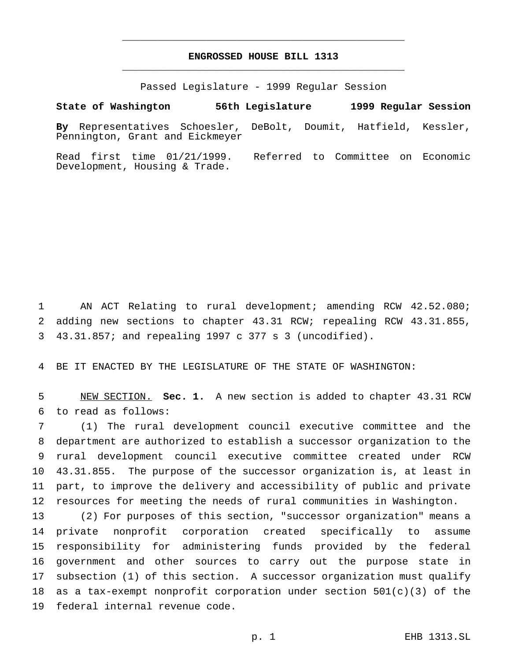# **ENGROSSED HOUSE BILL 1313** \_\_\_\_\_\_\_\_\_\_\_\_\_\_\_\_\_\_\_\_\_\_\_\_\_\_\_\_\_\_\_\_\_\_\_\_\_\_\_\_\_\_\_\_\_\_\_

\_\_\_\_\_\_\_\_\_\_\_\_\_\_\_\_\_\_\_\_\_\_\_\_\_\_\_\_\_\_\_\_\_\_\_\_\_\_\_\_\_\_\_\_\_\_\_

Passed Legislature - 1999 Regular Session

**State of Washington 56th Legislature 1999 Regular Session By** Representatives Schoesler, DeBolt, Doumit, Hatfield, Kessler, Pennington, Grant and Eickmeyer

Read first time 01/21/1999. Referred to Committee on Economic Development, Housing & Trade.

 AN ACT Relating to rural development; amending RCW 42.52.080; adding new sections to chapter 43.31 RCW; repealing RCW 43.31.855, 43.31.857; and repealing 1997 c 377 s 3 (uncodified).

BE IT ENACTED BY THE LEGISLATURE OF THE STATE OF WASHINGTON:

 NEW SECTION. **Sec. 1.** A new section is added to chapter 43.31 RCW to read as follows:

 (1) The rural development council executive committee and the department are authorized to establish a successor organization to the rural development council executive committee created under RCW 43.31.855. The purpose of the successor organization is, at least in part, to improve the delivery and accessibility of public and private resources for meeting the needs of rural communities in Washington.

 (2) For purposes of this section, "successor organization" means a private nonprofit corporation created specifically to assume responsibility for administering funds provided by the federal government and other sources to carry out the purpose state in subsection (1) of this section. A successor organization must qualify 18 as a tax-exempt nonprofit corporation under section  $501(c)(3)$  of the federal internal revenue code.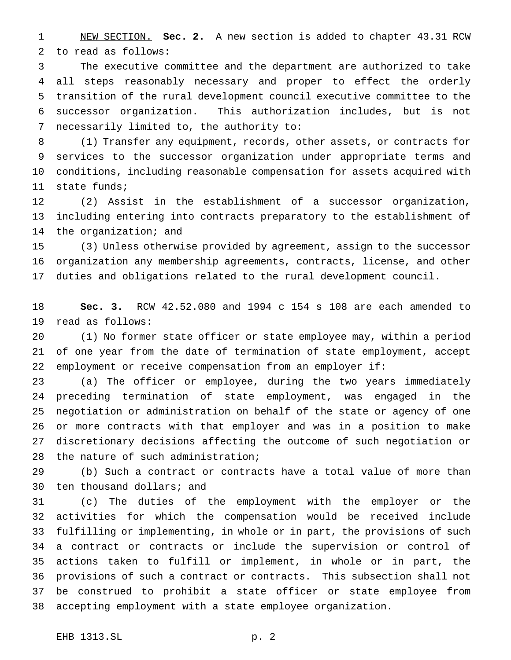NEW SECTION. **Sec. 2.** A new section is added to chapter 43.31 RCW to read as follows:

 The executive committee and the department are authorized to take all steps reasonably necessary and proper to effect the orderly transition of the rural development council executive committee to the successor organization. This authorization includes, but is not necessarily limited to, the authority to:

 (1) Transfer any equipment, records, other assets, or contracts for services to the successor organization under appropriate terms and conditions, including reasonable compensation for assets acquired with state funds;

 (2) Assist in the establishment of a successor organization, including entering into contracts preparatory to the establishment of the organization; and

 (3) Unless otherwise provided by agreement, assign to the successor organization any membership agreements, contracts, license, and other duties and obligations related to the rural development council.

 **Sec. 3.** RCW 42.52.080 and 1994 c 154 s 108 are each amended to read as follows:

 (1) No former state officer or state employee may, within a period of one year from the date of termination of state employment, accept employment or receive compensation from an employer if:

 (a) The officer or employee, during the two years immediately preceding termination of state employment, was engaged in the negotiation or administration on behalf of the state or agency of one or more contracts with that employer and was in a position to make discretionary decisions affecting the outcome of such negotiation or the nature of such administration;

 (b) Such a contract or contracts have a total value of more than ten thousand dollars; and

 (c) The duties of the employment with the employer or the activities for which the compensation would be received include fulfilling or implementing, in whole or in part, the provisions of such a contract or contracts or include the supervision or control of actions taken to fulfill or implement, in whole or in part, the provisions of such a contract or contracts. This subsection shall not be construed to prohibit a state officer or state employee from accepting employment with a state employee organization.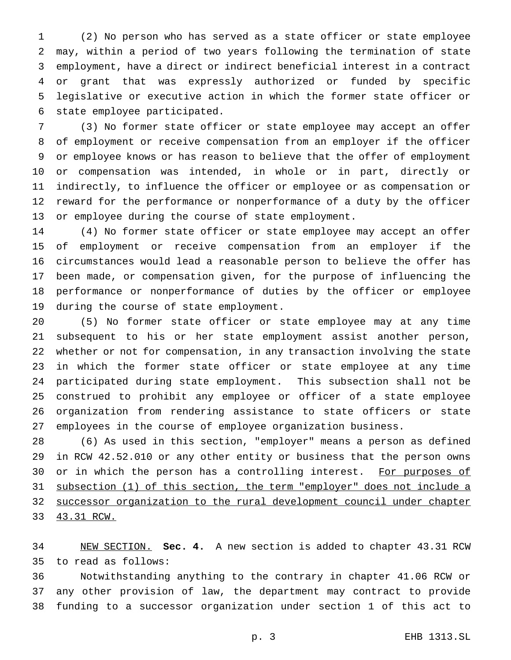(2) No person who has served as a state officer or state employee may, within a period of two years following the termination of state employment, have a direct or indirect beneficial interest in a contract or grant that was expressly authorized or funded by specific legislative or executive action in which the former state officer or state employee participated.

 (3) No former state officer or state employee may accept an offer of employment or receive compensation from an employer if the officer or employee knows or has reason to believe that the offer of employment or compensation was intended, in whole or in part, directly or indirectly, to influence the officer or employee or as compensation or reward for the performance or nonperformance of a duty by the officer or employee during the course of state employment.

 (4) No former state officer or state employee may accept an offer of employment or receive compensation from an employer if the circumstances would lead a reasonable person to believe the offer has been made, or compensation given, for the purpose of influencing the performance or nonperformance of duties by the officer or employee during the course of state employment.

 (5) No former state officer or state employee may at any time subsequent to his or her state employment assist another person, whether or not for compensation, in any transaction involving the state in which the former state officer or state employee at any time participated during state employment. This subsection shall not be construed to prohibit any employee or officer of a state employee organization from rendering assistance to state officers or state employees in the course of employee organization business.

 (6) As used in this section, "employer" means a person as defined in RCW 42.52.010 or any other entity or business that the person owns 30 or in which the person has a controlling interest. For purposes of subsection (1) of this section, the term "employer" does not include a successor organization to the rural development council under chapter 43.31 RCW.

 NEW SECTION. **Sec. 4.** A new section is added to chapter 43.31 RCW to read as follows:

 Notwithstanding anything to the contrary in chapter 41.06 RCW or any other provision of law, the department may contract to provide funding to a successor organization under section 1 of this act to